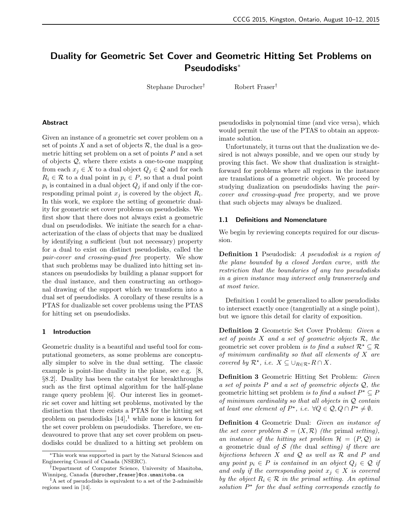# Duality for Geometric Set Cover and Geometric Hitting Set Problems on Pseudodisks<sup>∗</sup>

Stephane Durocher† Robert Fraser†

## Abstract

Given an instance of a geometric set cover problem on a set of points X and a set of objects  $\mathcal{R}$ , the dual is a geometric hitting set problem on a set of points P and a set of objects Q, where there exists a one-to-one mapping from each  $x_j \in X$  to a dual object  $Q_j \in \mathcal{Q}$  and for each  $R_i \in \mathcal{R}$  to a dual point in  $p_i \in P$ , so that a dual point  $p_i$  is contained in a dual object  $Q_j$  if and only if the corresponding primal point  $x_j$  is covered by the object  $R_i$ . In this work, we explore the setting of geometric duality for geometric set cover problems on pseudodisks. We first show that there does not always exist a geometric dual on pseudodisks. We initiate the search for a characterization of the class of objects that may be dualized by identifying a sufficient (but not necessary) property for a dual to exist on distinct pseudodisks, called the pair-cover and crossing-quad free property. We show that such problems may be dualized into hitting set instances on pseudodisks by building a planar support for the dual instance, and then constructing an orthogonal drawing of the support which we transform into a dual set of pseudodisks. A corollary of these results is a PTAS for dualizable set cover problems using the PTAS for hitting set on pseudodisks.

#### 1 Introduction

Geometric duality is a beautiful and useful tool for computational geometers, as some problems are conceptually simpler to solve in the dual setting. The classic example is point-line duality in the plane, see e.g. [8, §8.2]. Duality has been the catalyst for breakthroughs such as the first optimal algorithm for the half-plane range query problem [6]. Our interest lies in geometric set cover and hitting set problems, motivated by the distinction that there exists a PTAS for the hitting set problem on pseudodisks  $[14]$ ,<sup>1</sup> while none is known for the set cover problem on pseudodisks. Therefore, we endeavoured to prove that any set cover problem on pseudodisks could be dualized to a hitting set problem on pseudodisks in polynomial time (and vice versa), which would permit the use of the PTAS to obtain an approximate solution.

Unfortunately, it turns out that the dualization we desired is not always possible, and we open our study by proving this fact. We show that dualization is straightforward for problems where all regions in the instance are translations of a geometric object. We proceed by studying dualization on pseudodisks having the paircover and crossing-quad free property, and we prove that such objects may always be dualized.

## 1.1 Definitions and Nomenclature

We begin by reviewing concepts required for our discussion.

Definition 1 Pseudodisk: A pseudodisk is a region of the plane bounded by a closed Jordan curve, with the restriction that the boundaries of any two pseudodisks in a given instance may intersect only transversely and at most twice.

Definition 1 could be generalized to allow pseudodisks to intersect exactly once (tangentially at a single point), but we ignore this detail for clarity of exposition.

Definition 2 Geometric Set Cover Problem: Given a set of points  $X$  and a set of geometric objects  $\mathcal{R}$ , the geometric set cover problem is to find a subset  $\mathcal{R}^* \subseteq \mathcal{R}$ of minimum cardinality so that all elements of X are covered by  $\mathcal{R}^{\star}$ , i.e.  $X \subseteq \bigcup_{R \in \mathcal{R}^{\star}} R \cap X$ .

Definition 3 Geometric Hitting Set Problem: Given a set of points P and a set of geometric objects Q, the geometric hitting set problem is to find a subset  $P^* \subseteq P$ of minimum cardinality so that all objects in Q contain at least one element of  $P^*$ , i.e.  $\forall Q \in \mathcal{Q}, Q \cap P^* \neq \emptyset$ .

Definition 4 Geometric Dual: Given an instance of the set cover problem  $S = (X, \mathcal{R})$  (the primal setting), an instance of the hitting set problem  $\mathcal{H} = (P, \mathcal{Q})$  is a geometric dual of S (the dual setting) if there are bijections between  $X$  and  $Q$  as well as  $R$  and  $P$  and any point  $p_i \in P$  is contained in an object  $Q_j \in \mathcal{Q}$  if and only if the corresponding point  $x_j \in X$  is covered by the object  $R_i \in \mathcal{R}$  in the primal setting. An optimal solution  $P^*$  for the dual setting corresponds exactly to

<sup>∗</sup>This work was supported in part by the Natural Sciences and Engineering Council of Canada (NSERC).

<sup>†</sup>Department of Computer Science, University of Manitoba, Winnipeg, Canada {durocher,fraser}@cs.umanitoba.ca

<sup>&</sup>lt;sup>1</sup>A set of pseudodisks is equivalent to a set of the 2-admissible regions used in [14].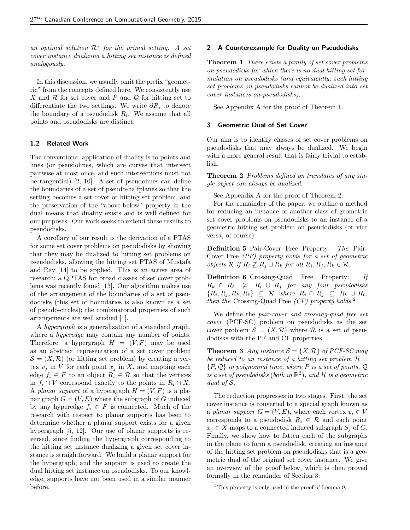an optimal solution  $\mathcal{R}^*$  for the primal setting. A set cover instance dualizing a hitting set instance is defined analogously.

In this discussion, we usually omit the prefix "geometric" from the concepts defined here. We consistently use X and  $R$  for set cover and P and Q for hitting set to differentiate the two settings. We write  $\partial R_i$  to denote the boundary of a pseudodisk  $R_i$ . We assume that all points and pseudodisks are distinct.

# 1.2 Related Work

The conventional application of duality is to points and lines (or pseudolines, which are curves that intersect pairwise at most once, and such intersections must not be tangential) [2, 10]. A set of pseudolines can define the boundaries of a set of pseudo-halfplanes so that the setting becomes a set cover or hitting set problem, and the preservation of the "above-below" property in the dual means that duality exists and is well defined for our purposes. Our work seeks to extend these results to pseudodisks.

A corollary of our result is the derivation of a PTAS for some set cover problems on pseudodisks by showing that they may be dualized to hitting set problems on pseudodisks, allowing the hitting set PTAS of Mustafa and Ray [14] to be applied. This is an active area of research; a QPTAS for broad classes of set cover problems was recently found [13]. Our algorithm makes use of the arrangement of the boundaries of a set of pseudodisks (this set of boundaries is also known as a set of pseudo-circles); the combinatorial properties of such arrangements are well studied [1].

A hypergraph is a generalization of a standard graph, where a *hyperedge* may contain any number of points. Therefore, a hypergraph  $H = (V, F)$  may be used as an abstract representation of a set cover problem  $\mathcal{S} = (X, \mathcal{R})$  (or hitting set problem) by creating a vertex  $v_i$  in V for each point  $x_i$  in X, and mapping each edge  $f_i \in F$  to an object  $R_i \in \mathcal{R}$  so that the vertices in  $f_i \cap V$  correspond exactly to the points in  $R_i \cap X$ . A planar support of a hypergraph  $H = (V, F)$  is a planar graph  $G = (V, E)$  where the subgraph of G induced by any hyperedge  $f_i \in F$  is connected. Much of the research with respect to planar supports has been to determine whether a planar support exists for a given hypergraph [5, 12]. Our use of planar supports is reversed, since finding the hypergraph corresponding to the hitting set instance dualizing a given set cover instance is straightforward. We build a planar support for the hypergraph, and the support is used to create the dual hitting set instance on pseudodisks. To our knowledge, supports have not been used in a similar manner before.

# 2 A Counterexample for Duality on Pseudodisks

Theorem 1 There exists a family of set cover problems on pseudodisks for which there is no dual hitting set formulation on pseudodisks (and equivalently, such hitting set problems on pseudodisks cannot be dualized into set cover instances on pseudodisks).

See Appendix A for the proof of Theorem 1.

## 3 Geometric Dual of Set Cover

Our aim is to identify classes of set cover problems on pseudodisks that may always be dualized. We begin with a more general result that is fairly trivial to establish.

Theorem 2 Problems defined on translates of any single object can always be dualized.

See Appendix A for the proof of Theorem 2.

For the remainder of the paper, we outline a method for reducing an instance of another class of geometric set cover problems on pseudodisks to an instance of a geometric hitting set problem on pseudodisks (or vice versa, of course).

Definition 5 Pair-Cover Free Property: The Pair-Cover Free (PF) property holds for a set of geometric *objects*  $\mathcal{R}$  *if*  $R_i \nsubseteq R_j \cup R_k$  *for all*  $R_i, R_j, R_k \in \mathcal{R}$ *.* 

Definition 6 Crossing-Quad Free Property: If  $R_k \cap R_\ell \not\subseteq R_i \cup R_j$  for any four pseudodisks  $\{R_i, R_j, R_k, R_\ell\} \subseteq \mathcal{R}$  where  $R_i \cap R_j \subseteq R_k \cup R_\ell$ , then the Crossing-Quad Free  $(CF)$  property holds.<sup>2</sup>

We define the pair-cover and crossing-quad free set cover (PCF-SC) problem on pseudodisks as the set cover problem  $S = (X, \mathcal{R})$  where  $\mathcal{R}$  is a set of pseudodisks with the PF and CF properties.

**Theorem 3** Any instance  $S = \{X, \mathcal{R}\}\$  of PCF-SC may be reduced to an instance of a hitting set problem  $\mathcal{H} =$  $\{P, Q\}$  in polynomial time, where P is a set of points, Q is a set of pseudodisks (both in  $\mathbb{R}^2$ ), and  $\mathcal H$  is a geometric dual of S.

The reduction progresses in two stages. First, the set cover instance is converted to a special graph known as a planar support  $G = (V, E)$ , where each vertex  $v_i \in V$ corresponds to a pseudodisk  $R_i \in \mathcal{R}$  and each point  $x_i \in X$  maps to a connected induced subgraph  $S_i$  of G. Finally, we show how to fatten each of the subgraphs in the plane to form a pseudodisk, creating an instance of the hitting set problem on pseudodisks that is a geometric dual of the original set cover instance. We give an overview of the proof below, which is then proved formally in the remainder of Section 3:

 $2$ This property is only used in the proof of Lemma 9.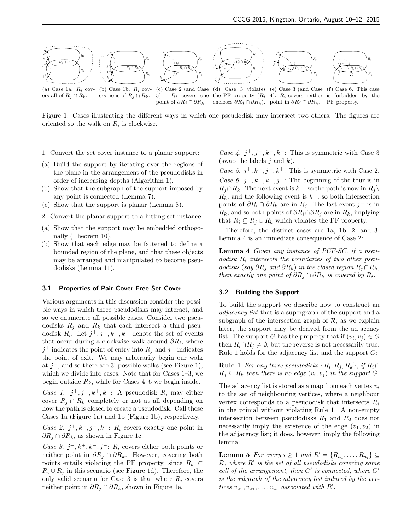

Figure 1: Cases illustrating the different ways in which one pseudodisk may intersect two others. The figures are oriented so the walk on  $R_i$  is clockwise.

point of  $\partial R_i \cap \partial R_k$ .

- 1. Convert the set cover instance to a planar support:
- (a) Build the support by iterating over the regions of the plane in the arrangement of the pseudodisks in order of increasing depths (Algorithm 1).
- (b) Show that the subgraph of the support imposed by any point is connected (Lemma 7).
- (c) Show that the support is planar (Lemma 8).
- 2. Convert the planar support to a hitting set instance:
- (a) Show that the support may be embedded orthogonally (Theorem 10).
- (b) Show that each edge may be fattened to define a bounded region of the plane, and that these objects may be arranged and manipulated to become pseudodisks (Lemma 11).

#### 3.1 Properties of Pair-Cover Free Set Cover

Various arguments in this discussion consider the possible ways in which three pseudodisks may interact, and so we enumerate all possible cases. Consider two pseudodisks  $R_j$  and  $R_k$  that each intersect a third pseudodisk  $R_i$ . Let  $j^+, j^-, k^+, k^-$  denote the set of events that occur during a clockwise walk around  $\partial R_i$ , where  $j^+$  indicates the point of entry into  $R_j$  and  $j^-$  indicates the point of exit. We may arbitrarily begin our walk at  $j^+$ , and so there are 3! possible walks (see Figure 1), which we divide into cases. Note that for Cases 1–3, we begin outside  $R_k$ , while for Cases 4–6 we begin inside.

Case 1.  $j^+, j^-, k^+, k^-$ : A pseudodisk  $R_i$  may either cover  $R_j \cap R_k$  completely or not at all depending on how the path is closed to create a pseudodisk. Call these Cases 1a (Figure 1a) and 1b (Figure 1b), respectively.

Case 2.  $j^+, k^+, j^-, k^-$ :  $R_i$  covers exactly one point in  $\partial R_i \cap \partial R_k$ , as shown in Figure 1c.

Case 3.  $j^+, k^+, k^-, j^-$ :  $R_i$  covers either both points or neither point in  $\partial R_j \cap \partial R_k$ . However, covering both points entails violating the PF property, since  $R_k \subset$  $R_i \cup R_j$  in this scenario (see Figure 1d). Therefore, the only valid scenario for Case 3 is that where  $R_i$  covers neither point in  $\partial R_i \cap \partial R_k$ , shown in Figure 1e.

Case 4.  $j^+, j^-, k^-, k^+$ : This is symmetric with Case 3 (swap the labels  $j$  and  $k$ ).

encloses  $\partial R_j \cap \partial R_k$ ). point in  $\partial R_j \cap \partial R_k$ . PF property.

Case 5.  $j^+, k^-, j^-, k^+$ : This is symmetric with Case 2. Case 6.  $j^+, k^-, k^+, j^-$ : The beginning of the tour is in  $R_j \cap R_k$ . The next event is  $k^-$ , so the path is now in  $R_j \setminus$  $R_k$ , and the following event is  $k^+$ , so both intersection points of  $\partial R_i \cap \partial R_k$  are in  $R_j$ . The last event j<sup>-</sup> is in  $R_k$ , and so both points of  $\partial R_i \cap \partial R_j$  are in  $R_k$ , implying that  $R_i \subseteq R_j \cup R_k$  which violates the PF property.

Therefore, the distinct cases are 1a, 1b, 2, and 3. Lemma 4 is an immediate consequence of Case 2:

Lemma 4 Given any instance of PCF-SC, if a pseudodisk  $R_i$  intersects the boundaries of two other pseudodisks (say  $\partial R_i$  and  $\partial R_k$ ) in the closed region  $R_i \cap R_k$ , then exactly one point of  $\partial R_i \cap \partial R_k$  is covered by  $R_i$ .

#### 3.2 Building the Support

To build the support we describe how to construct an adjacency list that is a supergraph of the support and a subgraph of the intersection graph of  $\mathcal{R}$ ; as we explain later, the support may be derived from the adjacency list. The support G has the property that if  $(v_i, v_j) \in G$ then  $R_i \cap R_j \neq \emptyset$ , but the reverse is not necessarily true. Rule 1 holds for the adjacency list and the support  $G$ :

**Rule 1** For any three pseudodisks  $\{R_i, R_j, R_k\}$ , if  $R_i \cap$  $R_j \subseteq R_k$  then there is no edge  $(v_i, v_j)$  in the support G.

The adjacency list is stored as a map from each vertex  $v_i$ to the set of neighbouring vertices, where a neighbour vertex corresponds to a pseudodisk that intersects  $R_i$ in the primal without violating Rule 1. A non-empty intersection between pseudodisks  $R_1$  and  $R_2$  does not necessarily imply the existence of the edge  $(v_1, v_2)$  in the adjacency list; it does, however, imply the following lemma:

**Lemma 5** For every  $i \geq 1$  and  $R' = \{R_{a_1}, \ldots, R_{a_i}\} \subseteq$  $\mathcal{R},$  where  $R'$  is the set of all pseudodisks covering some cell of the arrangement, then  $G'$  is connected, where  $G'$ is the subgraph of the adjacency list induced by the vertices  $v_{a_1}, v_{a_2}, \ldots, v_{a_i}$  associated with  $R'$ .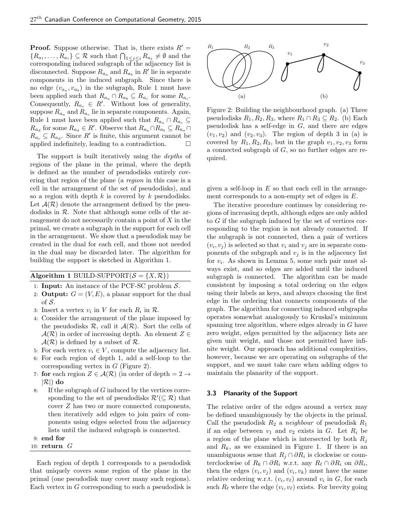**Proof.** Suppose otherwise. That is, there exists  $R' =$  ${R_{a_1}, \ldots, R_{a_i}} \subseteq \mathcal{R}$  such that  $\bigcap_{1 \leq j \leq i} R_{a_j} \neq \emptyset$  and the corresponding induced subgraph of the adjacency list is disconnected. Suppose  $R_{a_a}$  and  $R_{a_b}$  in  $R'$  lie in separate components in the induced subgraph. Since there is no edge  $(v_{a_a}, v_{a_b})$  in the subgraph, Rule 1 must have been applied such that  $R_{a_a} \cap R_{a_b} \subseteq R_{a_c}$  for some  $R_{a_c}$ . Consequently,  $R_{a_c} \in R'$ . Without loss of generality, suppose  $R_{a_a}$  and  $R_{a_c}$  lie in separate components. Again, Rule 1 must have been applied such that  $R_{a_a} \cap R_{a_c} \subseteq$  $R_{a_d}$  for some  $R_{a_d} \in R'$ . Observe that  $R_{a_a} \cap R_{a_b} \subseteq R_{a_a} \cap$  $R_{a_c} \subseteq R_{a_d}$ . Since  $R'$  is finite, this argument cannot be applied indefinitely, leading to a contradiction.  $\Box$ 

The support is built iteratively using the *depths* of regions of the plane in the primal, where the depth is defined as the number of pseudodisks entirely covering that region of the plane (a region in this case is a cell in the arrangement of the set of pseudodisks), and so a region with depth  $k$  is covered by  $k$  pseudodisks. Let  $\mathcal{A}(\mathcal{R})$  denote the arrangement defined by the pseudodisks in  $R$ . Note that although some cells of the arrangement do not necessarily contain a point of  $X$  in the primal, we create a subgraph in the support for each cell in the arrangement. We show that a pseudodisk may be created in the dual for each cell, and those not needed in the dual may be discarded later. The algorithm for building the support is sketched in Algorithm 1.

# Algorithm 1 BUILD-SUPPORT $(S = \{X, \mathcal{R}\})$

- 1: **Input:** An instance of the PCF-SC problem  $S$ .
- 2: **Output:**  $G = (V, E)$ , a planar support for the dual of  $S$ .
- 3: Insert a vertex  $v_i$  in V for each  $R_i$  in  $R$ .
- 4: Consider the arrangement of the plane imposed by the pseudodisks  $\mathcal{R}$ , call it  $\mathcal{A}(\mathcal{R})$ . Sort the cells of  $\mathcal{A}(\mathcal{R})$  in order of increasing depth. An element  $Z \in$  $\mathcal{A}(\mathcal{R})$  is defined by a subset of  $\mathcal{R}$ .
- 5: For each vertex  $v_i \in V$ , compute the adjacency list.
- 6: For each region of depth 1, add a self-loop to the corresponding vertex in  $G$  (Figure 2).
- 7: for each region  $Z \in \mathcal{A}(\mathcal{R})$  (in order of depth = 2  $\rightarrow$  $|\mathcal{R}|$ ) do
- 8: If the subgraph of  $G$  induced by the vertices corresponding to the set of pseudodisks  $\mathcal{R}'(\subseteq \mathcal{R})$  that cover Z has two or more connected components, then iteratively add edges to join pairs of components using edges selected from the adjacency lists until the induced subgraph is connected.

# 9: end for

# 10: return G

Each region of depth 1 corresponds to a pseudodisk that uniquely covers some region of the plane in the primal (one pseudodisk may cover many such regions). Each vertex in G corresponding to such a pseudodisk is



Figure 2: Building the neighbourhood graph. (a) Three pseudodisks  $R_1, R_2, R_3$ , where  $R_1 \cap R_3 \subseteq R_2$ . (b) Each pseudodisk has a self-edge in  $G$ , and there are edges  $(v_1, v_2)$  and  $(v_2, v_3)$ . The region of depth 3 in (a) is covered by  $R_1, R_2, R_3$ , but in the graph  $v_1, v_2, v_3$  form a connected subgraph of  $G$ , so no further edges are required.

given a self-loop in  $E$  so that each cell in the arrangement corresponds to a non-empty set of edges in E.

The iterative procedure continues by considering regions of increasing depth, although edges are only added to G if the subgraph induced by the set of vertices corresponding to the region is not already connected. If the subgraph is not connected, then a pair of vertices  $(v_i, v_j)$  is selected so that  $v_i$  and  $v_j$  are in separate components of the subgraph and  $v_j$  is in the adjacency list for  $v_i$ . As shown in Lemma 5, some such pair must always exist, and so edges are added until the induced subgraph is connected. The algorithm can be made consistent by imposing a total ordering on the edges using their labels as keys, and always choosing the first edge in the ordering that connects components of the graph. The algorithm for connecting induced subgraphs operates somewhat analogously to Kruskal's minimum spanning tree algorithm, where edges already in G have zero weight, edges permitted by the adjacency lists are given unit weight, and those not permitted have infinite weight. Our approach has additional complexities, however, because we are operating on subgraphs of the support, and we must take care when adding edges to maintain the planarity of the support.

# 3.3 Planarity of the Support

The relative order of the edges around a vertex may be defined unambiguously by the objects in the primal. Call the pseudodisk  $R_2$  a neighbour of pseudodisk  $R_1$ if an edge between  $v_1$  and  $v_2$  exists in G. Let  $R_i$  be a region of the plane which is intersected by both  $R_i$ and  $R_k$ , as we examined in Figure 1. If there is an unambiguous sense that  $R_j \cap \partial R_i$  is clockwise or counterclockwise of  $R_k \cap \partial R_i$  w.r.t. any  $R_\ell \cap \partial R_i$  on  $\partial R_i$ , then the edges  $(v_i, v_j)$  and  $(v_i, v_k)$  must have the same relative ordering w.r.t.  $(v_i, v_\ell)$  around  $v_i$  in G, for each such  $R_\ell$  where the edge  $(v_i, v_\ell)$  exists. For brevity going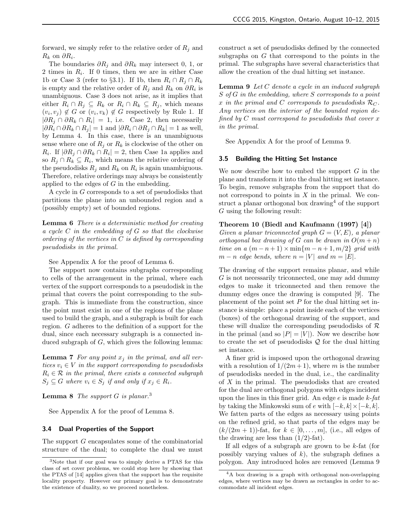forward, we simply refer to the relative order of  $R_j$  and  $R_k$  on  $\partial R_i$ .

The boundaries  $\partial R_j$  and  $\partial R_k$  may intersect 0, 1, or 2 times in  $R_i$ . If 0 times, then we are in either Case 1b or Case 3 (refer to §3.1). If 1b, then  $R_i \cap R_j \cap R_k$ is empty and the relative order of  $R_j$  and  $R_k$  on  $\partial R_i$  is unambiguous. Case 3 does not arise, as it implies that either  $R_i \cap R_j \subseteq R_k$  or  $R_i \cap R_k \subseteq R_j$ , which means  $(v_i, v_j) \notin G$  or  $(v_i, v_k) \notin G$  respectively by Rule 1. If  $|\partial R_j \cap \partial R_k \cap R_i| = 1$ , i.e. Case 2, then necessarily  $|\partial R_i \cap \partial R_k \cap R_j| = 1$  and  $|\partial R_i \cap \partial R_j \cap R_k| = 1$  as well, by Lemma 4. In this case, there is an unambiguous sense where one of  $R_i$  or  $R_k$  is clockwise of the other on  $R_i$ . If  $|\partial R_j \cap \partial R_k \cap R_i| = 2$ , then Case 1a applies and so  $R_j \cap R_k \subseteq R_i$ , which means the relative ordering of the pseudodisks  $R_j$  and  $R_k$  on  $R_i$  is again unambiguous. Therefore, relative orderings may always be consistently applied to the edges of  $G$  in the embedding.

A cycle in G corresponds to a set of pseudodisks that partitions the plane into an unbounded region and a (possibly empty) set of bounded regions.

**Lemma 6** There is a deterministic method for creating a cycle C in the embedding of G so that the clockwise ordering of the vertices in  $C$  is defined by corresponding pseudodisks in the primal.

See Appendix A for the proof of Lemma 6.

The support now contains subgraphs corresponding to cells of the arrangement in the primal, where each vertex of the support corresponds to a pseudodisk in the primal that covers the point corresponding to the subgraph. This is immediate from the construction, since the point must exist in one of the regions of the plane used to build the graph, and a subgraph is built for each region. G adheres to the definition of a support for the dual, since each necessary subgraph is a connected induced subgraph of  $G$ , which gives the following lemma:

**Lemma 7** For any point  $x_j$  in the primal, and all vertices  $v_i \in V$  in the support corresponding to pseudodisks  $R_i \in \mathcal{R}$  in the primal, there exists a connected subgraph  $S_j \subseteq G$  where  $v_i \in S_j$  if and only if  $x_j \in R_i$ .

**Lemma 8** The support  $G$  is planar.<sup>3</sup>

See Appendix A for the proof of Lemma 8.

## 3.4 Dual Properties of the Support

The support G encapsulates some of the combinatorial structure of the dual; to complete the dual we must

construct a set of pseudodisks defined by the connected subgraphs on G that correspond to the points in the primal. The subgraphs have several characteristics that allow the creation of the dual hitting set instance.

**Lemma 9** Let  $C$  denote a cycle in an induced subgraph S of G in the embedding, where S corresponds to a point x in the primal and C corresponds to pseudodisks  $\mathcal{R}_C$ . Any vertices on the interior of the bounded region defined by  $C$  must correspond to pseudodisks that cover x in the primal.

See Appendix A for the proof of Lemma 9.

## 3.5 Building the Hitting Set Instance

We now describe how to embed the support  $G$  in the plane and transform it into the dual hitting set instance. To begin, remove subgraphs from the support that do not correspond to points in  $X$  in the primal. We construct a planar orthogonal box drawing<sup>4</sup> of the support G using the following result:

# Theorem 10 (Biedl and Kaufmann (1997) [4])

Given a planar triconnected graph  $G = (V, E)$ , a planar orthogonal box drawing of G can be drawn in  $O(m + n)$ time on a  $(m-n+1) \times min\{m-n+1, m/2\}$  grid with  $m - n$  edge bends, where  $n = |V|$  and  $m = |E|$ .

The drawing of the support remains planar, and while G is not necessarily triconnected, one may add dummy edges to make it triconnected and then remove the dummy edges once the drawing is computed [9]. The placement of the point set  $P$  for the dual hitting set instance is simple: place a point inside each of the vertices (boxes) of the orthogonal drawing of the support, and these will dualize the corresponding pseudodisks of  $\mathcal R$ in the primal (and so  $|P| = |V|$ ). Now we describe how to create the set of pseudodisks  $Q$  for the dual hitting set instance.

A finer grid is imposed upon the orthogonal drawing with a resolution of  $1/(2m+1)$ , where m is the number of pseudodisks needed in the dual, i.e., the cardinality of  $X$  in the primal. The pseudodisks that are created for the dual are orthogonal polygons with edges incident upon the lines in this finer grid. An edge  $e$  is made  $k$ -fat by taking the Minkowski sum of e with  $[-k, k] \times [-k, k]$ . We fatten parts of the edges as necessary using points on the refined grid, so that parts of the edges may be  $(k/(2m+1))$ -fat, for  $k \in [0,\ldots,m]$ , (i.e., all edges of the drawing are less than  $(1/2)$ -fat).

If all edges of a subgraph are grown to be  $k$ -fat (for possibly varying values of  $k$ ), the subgraph defines a polygon. Any introduced holes are removed (Lemma 9

<sup>3</sup>Note that if our goal was to simply derive a PTAS for this class of set cover problems, we could stop here by showing that the PTAS of [14] applies given that the support has the requisite locality property. However our primary goal is to demonstrate the existence of duality, so we proceed nonetheless.

<sup>4</sup>A box drawing is a graph with orthogonal non-overlapping edges, where vertices may be drawn as rectangles in order to accommodate all incident edges.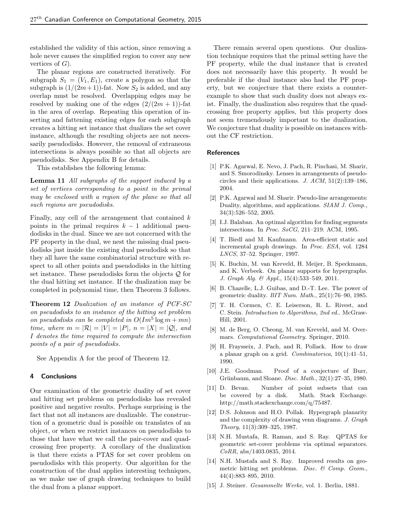established the validity of this action, since removing a hole never causes the simplified region to cover any new vertices of  $G$ ).

The planar regions are constructed iteratively. For subgraph  $S_1 = (V_1, E_1)$ , create a polygon so that the subgraph is  $(1/(2m+1))$ -fat. Now  $S_2$  is added, and any overlap must be resolved. Overlapping edges may be resolved by making one of the edges  $(2/(2m+1))$ -fat in the area of overlap. Repeating this operation of inserting and fattening existing edges for each subgraph creates a hitting set instance that dualizes the set cover instance, although the resulting objects are not necessarily pseudodisks. However, the removal of extraneous intersections is always possible so that all objects are pseudodisks. See Appendix B for details.

This establishes the following lemma:

**Lemma 11** All subgraphs of the support induced by a set of vertices corresponding to a point in the primal may be enclosed with a region of the plane so that all such regions are pseudodisks.

Finally, any cell of the arrangement that contained  $k$ points in the primal requires  $k - 1$  additional pseudodisks in the dual. Since we are not concerned with the PF property in the dual, we nest the missing dual pseudodisks just inside the existing dual pseudodisk so that they all have the same combinatorial structure with respect to all other points and pseudodisks in the hitting set instance. These pseudodisks form the objects Q for the dual hitting set instance. If the dualization may be completed in polynomial time, then Theorem 3 follows.

Theorem 12 Dualization of an instance of PCF-SC on pseudodisks to an instance of the hitting set problem on pseudodisks can be completed in  $O(Im^5 \log m + mn)$ time, where  $m = |\mathcal{R}| = |V| = |P|$ ,  $n = |X| = |Q|$ , and I denotes the time required to compute the intersection points of a pair of pseudodisks.

See Appendix A for the proof of Theorem 12.

# 4 Conclusions

Our examination of the geometric duality of set cover and hitting set problems on pseudodisks has revealed positive and negative results. Perhaps surprising is the fact that not all instances are dualizable. The construction of a geometric dual is possible on translates of an object, or when we restrict instances on pseudodisks to those that have what we call the pair-cover and quadcrossing free property. A corollary of the dualization is that there exists a PTAS for set cover problem on pseudodisks with this property. Our algorithm for the construction of the dual applies interesting techniques, as we make use of graph drawing techniques to build the dual from a planar support.

There remain several open questions. Our dualization technique requires that the primal setting have the PF property, while the dual instance that is created does not necessarily have this property. It would be preferable if the dual instance also had the PF property, but we conjecture that there exists a counterexample to show that such duality does not always exist. Finally, the dualization also requires that the quadcrossing free property applies, but this property does not seem tremendously important to the dualization. We conjecture that duality is possible on instances without the CF restriction.

#### References

- [1] P.K. Agarwal, E. Nevo, J. Pach, R. Pinchasi, M. Sharir, and S. Smorodinsky. Lenses in arrangements of pseudocircles and their applications. J.  $ACM$ ,  $51(2):139-186$ , 2004.
- [2] P.K. Agarwal and M. Sharir. Pseudo-line arrangements: Duality, algorithms, and applications. SIAM J. Comp., 34(3):526–552, 2005.
- [3] I.J. Balaban. An optimal algorithm for finding segments intersections. In Proc. SoCG, 211–219. ACM, 1995.
- [4] T. Biedl and M. Kaufmann. Area-efficient static and incremental graph drawings. In Proc. ESA, vol. 1284 LNCS, 37–52. Springer, 1997.
- [5] K. Buchin, M. van Kreveld, H. Meijer, B. Speckmann, and K. Verbeek. On planar supports for hypergraphs. J. Graph Alg. & Appl., 15(4):533–549, 2011.
- [6] B. Chazelle, L.J. Guibas, and D.-T. Lee. The power of geometric duality.  $BIT Num. Math., 25(1): 76-90, 1985.$
- [7] T. H. Cormen, C. E. Leiserson, R. L. Rivest, and C. Stein. Introduction to Algorithms, 2nd ed.. McGraw-Hill, 2001.
- [8] M. de Berg, O. Cheong, M. van Kreveld, and M. Overmars. Computational Geometry. Springer, 2010.
- [9] H. Fraysseix, J. Pach, and R. Pollack. How to draw a planar graph on a grid. *Combinatorica*,  $10(1):41-51$ , 1990.
- [10] J.E. Goodman. Proof of a conjecture of Burr, Grünbaum, and Sloane. Disc. Math., 32(1):27-35, 1980.
- [11] D. Bevan. Number of point subsets that can be covered by a disk. Math. Stack Exchange. http://math.stackexchange.com/q/75487.
- [12] D.S. Johnson and H.O. Pollak. Hypergraph planarity and the complexity of drawing venn diagrams. J. Graph Theory, 11(3):309–325, 1987.
- [13] N.H. Mustafa, R. Raman, and S. Ray. QPTAS for geometric set-cover problems via optimal separators. CoRR, abs/1403.0835, 2014.
- [14] N.H. Mustafa and S. Ray. Improved results on geometric hitting set problems. Disc. & Comp. Geom., 44(4):883–895, 2010.
- [15] J. Steiner. Gesammelte Werke, vol. 1. Berlin, 1881.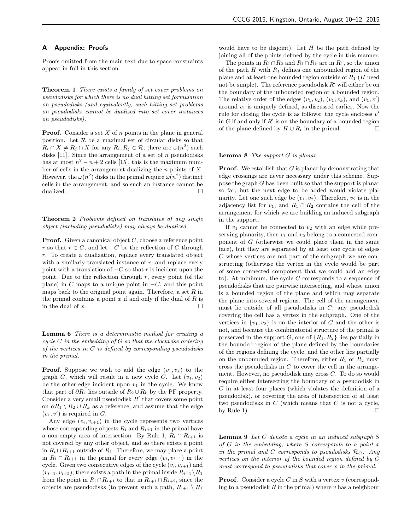# A Appendix: Proofs

Proofs omitted from the main text due to space constraints appear in full in this section.

Theorem 1 There exists a family of set cover problems on pseudodisks for which there is no dual hitting set formulation on pseudodisks (and equivalently, such hitting set problems on pseudodisks cannot be dualized into set cover instances on pseudodisks).

**Proof.** Consider a set  $X$  of  $n$  points in the plane in general position. Let  $R$  be a maximal set of circular disks so that  $R_i \cap X \neq R_j \cap X$  for any  $R_i, R_j \in \mathcal{R}$ ; there are  $\omega(n^2)$  such disks  $[11]$ . Since the arrangement of a set of n pseudodisks has at most  $n^2 - n + 2$  cells [15], this is the maximum number of cells in the arrangement dualizing the  $n$  points of  $X$ . However, the  $\omega(n^2)$  disks in the primal require  $\omega(n^2)$  distinct cells in the arrangement, and so such an instance cannot be dualized.  $\Box$ 

Theorem 2 Problems defined on translates of any single object (including pseudodisks) may always be dualized.

**Proof.** Given a canonical object  $C$ , choose a reference point r so that  $r \in C$ , and let  $-C$  be the reflection of C through r. To create a dualization, replace every translated object with a similarly translated instance of  $r$ , and replace every point with a translation of  $-C$  so that r is incident upon the point. Due to the reflection through  $r$ , every point (of the plane) in C maps to a unique point in  $-C$ , and this point maps back to the original point again. Therefore, a set  $R$  in the primal contains a point  $x$  if and only if the dual of  $R$  is in the dual of  $x$ .

Lemma 6 There is a deterministic method for creating a cycle  $C$  in the embedding of  $G$  so that the clockwise ordering of the vertices in  $C$  is defined by corresponding pseudodisks in the primal.

**Proof.** Suppose we wish to add the edge  $(v_1, v_k)$  to the graph G, which will result in a new cycle C. Let  $(v_1, v_2)$ be the other edge incident upon  $v_1$  in the cycle. We know that part of  $\partial R_1$  lies outside of  $R_2 \cup R_k$  by the PF property. Consider a very small pseudodisk  $R'$  that covers some point on  $\partial R_1 \setminus R_2 \cup R_k$  as a reference, and assume that the edge  $(v_1, v')$  is required in G.

Any edge  $(v_i, v_{i+1})$  in the cycle represents two vertices whose corresponding objects  $R_i$  and  $R_{i+1}$  in the primal have a non-empty area of intersection. By Rule 1,  $R_i \cap R_{i+1}$  is not covered by any other object, and so there exists a point in  $R_i \cap R_{i+1}$  outside of  $R_1$ . Therefore, we may place a point in  $R_i \cap R_{i+1}$  in the primal for every edge  $(v_i, v_{i+1})$  in the cycle. Given two consecutive edges of the cycle  $(v_i, v_{i+1})$  and  $(v_{i+1}, v_{i+2})$ , there exists a path in the primal inside  $R_{i+1} \backslash R_1$ from the point in  $R_i \cap R_{i+1}$  to that in  $R_{i+1} \cap R_{i+2}$ , since the objects are pseudodisks (to prevent such a path,  $R_{i+1} \setminus R_1$ 

would have to be disjoint). Let  $H$  be the path defined by joining all of the points defined by the cycle in this manner.

The points in  $R_1 \cap R_2$  and  $R_1 \cap R_k$  are in  $R_1$ , so the union of the path  $H$  with  $R_1$  defines one unbounded region of the plane and at least one bounded region outside of  $R_1$  (H need not be simple). The reference pseudodisk  $R'$  will either be on the boundary of the unbounded region or a bounded region. The relative order of the edges  $(v_1, v_2)$ ,  $(v_1, v_k)$ , and  $(v_1, v')$ around  $v_1$  is uniquely defined, as discussed earlier. Now the rule for closing the cycle is as follows: the cycle encloses  $v'$ in G if and only if  $R'$  is on the boundary of a bounded region of the plane defined by  $H \cup R_i$  in the primal.  $□$ 

#### **Lemma 8** The support  $G$  is planar.

**Proof.** We establish that  $G$  is planar by demonstrating that edge crossings are never necessary under this scheme. Suppose the graph G has been built so that the support is planar so far, but the next edge to be added would violate planarity. Let one such edge be  $(v_1, v_2)$ . Therefore,  $v_2$  is in the adjacency list for  $v_1$ , and  $R_1 \cap R_2$  contains the cell of the arrangement for which we are building an induced subgraph in the support.

If  $v_1$  cannot be connected to  $v_2$  with an edge while preserving planarity, then  $v_1$  and  $v_2$  belong to a connected component of  $G$  (otherwise we could place them in the same face), but they are separated by at least one cycle of edges C whose vertices are not part of the subgraph we are constructing (otherwise the vertex in the cycle would be part of some connected component that we could add an edge to). At minimum, the cycle  $C$  corresponds to a sequence of pseudodisks that are pairwise intersecting, and whose union is a bounded region of the plane and which may separate the plane into several regions. The cell of the arrangement must lie outside of all pseudodisks in  $C$ ; any pseudodisk covering the cell has a vertex in the subgraph. One of the vertices in  $\{v_1, v_2\}$  is on the interior of C and the other is not, and because the combinatorial structure of the primal is preserved in the support G, one of  $\{R_1, R_2\}$  lies partially in the bounded region of the plane defined by the boundaries of the regions defining the cycle, and the other lies partially on the unbounded region. Therefore, either  $R_1$  or  $R_2$  must cross the pseudodisks in  $C$  to cover the cell in the arrangement. However, no pseudodisk may cross C. To do so would require either intersecting the boundary of a pseudodisk in C in at least four places (which violates the definition of a pseudodisk), or covering the area of intersection of at least two pseudodisks in  $C$  (which means that  $C$  is not a cycle, by Rule 1).  $\Box$ 

Lemma 9 Let C denote a cycle in an induced subgraph S of  $G$  in the embedding, where  $S$  corresponds to a point  $x$ in the primal and C corresponds to pseudodisks  $\mathcal{R}_C$ . Any vertices on the interior of the bounded region defined by C must correspond to pseudodisks that cover x in the primal.

**Proof.** Consider a cycle C in S with a vertex  $v$  (corresponding to a pseudodisk  $R$  in the primal) where  $v$  has a neighbour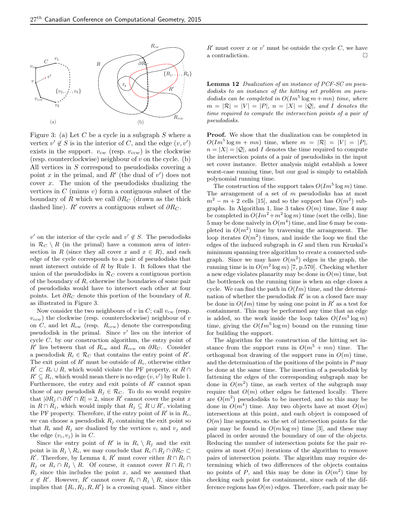

Figure 3: (a) Let  $C$  be a cycle in a subgraph  $S$  where a vertex  $v' \notin S$  is in the interior of C, and the edge  $(v, v')$ exists in the support.  $v_{cw}$  (resp.  $v_{ccw}$ ) is the clockwise (resp. counterclockwise) neighbour of  $v$  on the cycle. (b) All vertices in S correspond to pseudodisks covering a point x in the primal, and  $R'$  (the dual of  $v'$ ) does not cover  $x$ . The union of the pseudodisks dualizing the vertices in  $C$  (minus  $v$ ) form a contiguous subset of the boundary of R which we call  $\partial R_C$  (drawn as the thick dashed line).  $R'$  covers a contiguous subset of  $\partial R_C$ .

v' on the interior of the cycle and  $v' \notin S$ . The pseudodisks in  $\mathcal{R}_C \setminus R$  (in the primal) have a common area of intersection in R (since they all cover x and  $x \in R$ ), and each edge of the cycle corresponds to a pair of pseudodisks that must intersect outside of  $R$  by Rule 1. It follows that the union of the pseudodisks in  $\mathcal{R}_C$  covers a contiguous portion of the boundary of  $R$ , otherwise the boundaries of some pair of pseudodisks would have to intersect each other at four points. Let  $\partial R_C$  denote this portion of the boundary of R, as illustrated in Figure 3.

Now consider the two neighbours of v in C; call  $v_{cw}$  (resp.  $v_{ccw}$ ) the clockwise (resp. counterclockwise) neighbour of v on  $C$ , and let  $R_{cw}$  (resp.  $R_{ccw}$ ) denote the corresponding pseudodisk in the primal. Since  $v'$  lies on the interior of cycle  $C$ , by our construction algorithm, the entry point of R' lies between that of  $R_{cw}$  and  $R_{ccw}$  on  $\partial R_{C}$ . Consider a pseudodisk  $R_i \in \mathcal{R}_C$  that contains the entry point of  $R'$ . The exit point of  $R'$  must be outside of  $R_i$ , otherwise either  $R' \subset R_i \cup R$ , which would violate the PF property, or  $R \cap$  $R' \subseteq R_i$ , which would mean there is no edge  $(v, v')$  by Rule 1. Furthermore, the entry and exit points of  $R'$  cannot span those of any pseudodisk  $R_j \in \mathcal{R}_C$ . To do so would require that  $|\partial R_j \cap \partial R'| \cap R| = 2$ , since R' cannot cover the point x in  $R \cap R_j$ , which would imply that  $R_j \subseteq R \cup R'$ , violating the PF property. Therefore, if the entry point of  $R'$  is in  $R_i$ , we can choose a pseudodisk  $R_j$  containing the exit point so that  $R_i$  and  $R_j$  are dualized by the vertices  $v_i$  and  $v_j$  and the edge  $(v_i, v_j)$  is in C.

Since the entry point of R' is in  $R_i \setminus R_j$  and the exit point is in  $R_i \setminus R_i$ , we may conclude that  $R_i \cap R_j \cap \partial R_C \subset$ R'. Therefore, by Lemma 4, R' must cover either  $R \cap R_i \cap$  $R_j$  or  $R_i \cap R_j \setminus R$ . Of course, it cannot cover  $R \cap R_i \cap R_j$  $R_i$  since this includes the point x, and we assumed that  $x \notin R'$ . However, R' cannot cover  $R_i \cap R_j \setminus R$ , since this implies that  $\{R_i, R_j, R, R'\}$  is a crossing quad. Since either

 $R'$  must cover x or v' must be outside the cycle C, we have a contradiction.

Lemma 12 Dualization of an instance of PCF-SC on pseudodisks to an instance of the hitting set problem on pseudodisks can be completed in  $O(Im^5 \log m + mn)$  time, where  $m = |\mathcal{R}| = |V| = |P|, n = |X| = |Q|, and I denotes the$ time required to compute the intersection points of a pair of pseudodisks.

Proof. We show that the dualization can be completed in  $O(Im^5 \log m + mn)$  time, where  $m = |\mathcal{R}| = |V| = |P|$ ,  $n = |X| = |Q|$ , and I denotes the time required to compute the intersection points of a pair of pseudodisks in the input set cover instance. Better analysis might establish a lower worst-case running time, but our goal is simply to establish polynomial running time.

The construction of the support takes  $O(Im^5 \log m)$  time. The arrangement of a set of  $m$  pseudodisks has at most  $m^2 - m + 2$  cells [15], and so the support has  $O(m^2)$  subgraphs. In Algorithm 1, line 3 takes  $O(m)$  time, line 4 may be completed in  $O(Im^2 + m^2 \log m)$  time (sort the cells), line 5 may be done naïvely in  $O(m^4)$  time, and line 6 may be completed in  $O(m^2)$  time by traversing the arrangement. The loop iterates  $O(m^2)$  times, and inside the loop we find the edges of the induced subgraph in  $G$  and then run Kruskal's minimum spanning tree algorithm to create a connected subgraph. Since we may have  $O(m^2)$  edges in the graph, the running time is in  $O(m^2 \log m)$  [7, p.570]. Checking whether a new edge violates planarity may be done in  $O(m)$  time, but the bottleneck on the running time is when an edge closes a cycle. We can find the path in  $O(Im)$  time, and the determination of whether the pseudodisk  $R'$  is on a closed face may be done in  $O(Im)$  time by using one point in  $R'$  as a test for containment. This may be performed any time that an edge is added, so the work inside the loop takes  $O(Im^3 \log m)$ time, giving the  $O(Im^5 \log m)$  bound on the running time for building the support.

The algorithm for the construction of the hitting set instance from the support runs in  $O(m^5 + mn)$  time. The orthogonal box drawing of the support runs in  $O(m)$  time, and the determination of the positions of the points in  $P$  may be done at the same time. The insertion of a pseudodisk by fattening the edges of the corresponding subgraph may be done in  $O(m^2)$  time, as each vertex of the subgraph may require that  $O(m)$  other edges be fattened locally. There are  $O(m^2)$  pseudodisks to be inserted, and so this may be done in  $O(m^4)$  time. Any two objects have at most  $O(m)$ intersections at this point, and each object is composed of  $O(m)$  line segments, so the set of intersection points for the pair may be found in  $O(m \log m)$  time [3], and these may placed in order around the boundary of one of the objects. Reducing the number of intersection points for the pair requires at most  $O(m)$  iterations of the algorithm to remove pairs of intersection points. The algorithm may require determining which of two differences of the objects contains no points of P, and this may be done in  $O(m^2)$  time by checking each point for containment, since each of the difference regions has  $O(m)$  edges. Therefore, each pair may be